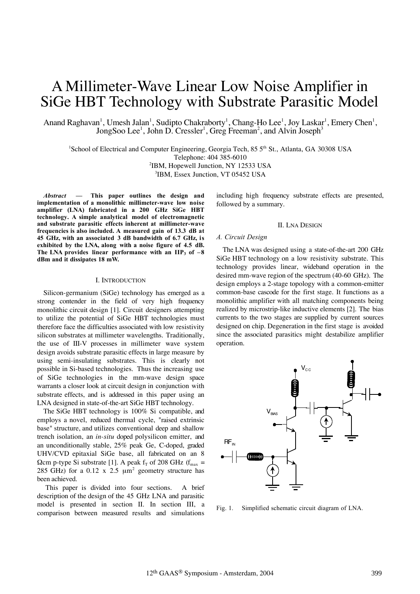# A Millimeter-Wave Linear Low Noise Amplifier in SiGe HBT Technology with Substrate Parasitic Model

Anand Raghavan<sup>1</sup>, Umesh Jalan<sup>1</sup>, Sudipto Chakraborty<sup>1</sup>, Chang-Ho Lee<sup>1</sup>, Joy Laskar<sup>1</sup>, Emery Chen<sup>1</sup>, JongSoo Lee<sup>1</sup>, John D. Cressler<sup>1</sup>, Greg Freeman<sup>2</sup>, and Alvin Joseph<sup>3</sup>

<sup>1</sup>School of Electrical and Computer Engineering, Georgia Tech, 85 5<sup>th</sup> St., Atlanta, GA 30308 USA Telephone: 404 385-6010 2 IBM, Hopewell Junction, NY 12533 USA

3 IBM, Essex Junction, VT 05452 USA

*Abstract* **— This paper outlines the design and implementation of a monolithic millimeter-wave low noise amplifier (LNA) fabricated in a 200 GHz SiGe HBT technology. A simple analytical model of electromagnetic and substrate parasitic effects inherent at millimeter-wave frequencies is also included. A measured gain of 13.3 dB at 45 GHz, with an associated 3 dB bandwidth of 6.7 GHz, i s exhibited by the LNA, along with a noise figure of 4.5 dB.** The LNA provides linear performance with an  $IIP_3$  of  $-8$ **dBm and it dissipates 18 mW.**

#### I. INTRODUCTION

Silicon-germanium (SiGe) technology has emerged as a strong contender in the field of very high frequency monolithic circuit design [1]. Circuit designers attempting to utilize the potential of SiGe HBT technologies must therefore face the difficulties associated with low resistivity silicon substrates at millimeter wavelengths. Traditionally, the use of III-V processes in millimeter wave system design avoids substrate parasitic effects in large measure by using semi-insulating substrates. This is clearly not possible in Si-based technologies. Thus the increasing use of SiGe technologies in the mm-wave design space warrants a closer look at circuit design in conjunction with substrate effects, and is addressed in this paper using an LNA designed in state-of-the-art SiGe HBT technology.

The SiGe HBT technology is 100% Si compatible, and employs a novel, reduced thermal cycle, "raised extrinsic base" structure, and utilizes conventional deep and shallow trench isolation, an *in-situ* doped polysilicon emitter, and an unconditionally stable, 25% peak Ge, C-doped, graded UHV/CVD epitaxial SiGe base, all fabricated on an 8  $\Omega$ cm p-type Si substrate [1]. A peak f<sub>T</sub> of 208 GHz (f<sub>max</sub> = 285 GHz) for a 0.12 x 2.5  $\mu$ m<sup>2</sup> geometry structure has been achieved.

This paper is divided into four sections. A brief description of the design of the 45 GHz LNA and parasitic model is presented in section II. In section III, a comparison between measured results and simulations

including high frequency substrate effects are presented, followed by a summary.

#### II. LNA DESIGN

# *A. Circuit Design*

The LNA was designed using a state-of-the-art 200 GHz SiGe HBT technology on a low resistivity substrate. This technology provides linear, wideband operation in the desired mm-wave region of the spectrum (40-60 GHz). The design employs a 2-stage topology with a common-emitter common-base cascode for the first stage. It functions as a monolithic amplifier with all matching components being realized by microstrip-like inductive elements [2]. The bias currents to the two stages are supplied by current sources designed on chip. Degeneration in the first stage is avoided since the associated parasitics might destabilize amplifier operation.



Fig. 1. Simplified schematic circuit diagram of LNA.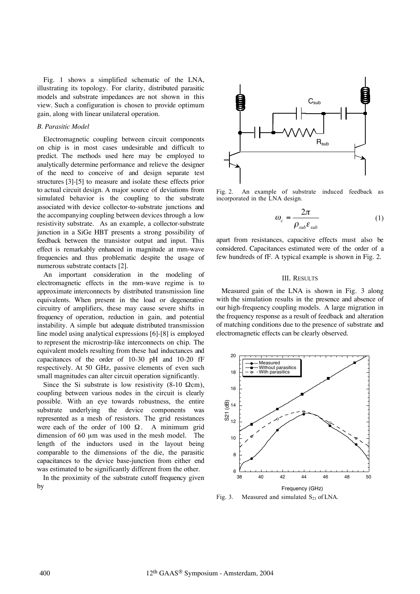Fig. 1 shows a simplified schematic of the LNA, illustrating its topology. For clarity, distributed parasitic models and substrate impedances are not shown in this view. Such a configuration is chosen to provide optimum gain, along with linear unilateral operation.

# *B. Parasitic Model*

Electromagnetic coupling between circuit components on chip is in most cases undesirable and difficult to predict. The methods used here may be employed to analytically determine performance and relieve the designer of the need to conceive of and design separate test structures [3]-[5] to measure and isolate these effects prior to actual circuit design. A major source of deviations from simulated behavior is the coupling to the substrate associated with device collector-to-substrate junctions and the accompanying coupling between devices through a low resistivity substrate. As an example, a collector-substrate junction in a SiGe HBT presents a strong possibility of feedback between the transistor output and input. This effect is remarkably enhanced in magnitude at mm-wave frequencies and thus problematic despite the usage of numerous substrate contacts [2].

An important consideration in the modeling of electromagnetic effects in the mm-wave regime is to approximate interconnects by distributed transmission line equivalents. When present in the load or degenerative circuitry of amplifiers, these may cause severe shifts in frequency of operation, reduction in gain, and potential instability. A simple but adequate distributed transmission line model using analytical expressions [6]-[8] is employed to represent the microstrip-like interconnects on chip. The equivalent models resulting from these had inductances and capacitances of the order of 10-30 pH and 10-20 fF respectively. At 50 GHz, passive elements of even such small magnitudes can alter circuit operation significantly.

Since the Si substrate is low resistivity (8-10  $\Omega$ cm), coupling between various nodes in the circuit is clearly possible. With an eye towards robustness, the entire substrate underlying the device components was represented as a mesh of resistors. The grid resistances were each of the order of 100  $\Omega$ . A minimum grid dimension of 60 µm was used in the mesh model. The length of the inductors used in the layout being comparable to the dimensions of the die, the parasitic capacitances to the device base-junction from either end was estimated to be significantly different from the other.

In the proximity of the substrate cutoff frequency given by



Fig. 2. An example of substrate induced feedback as incorporated in the LNA design.

$$
\omega_c = \frac{2\pi}{\rho_{sub} \varepsilon_{sub}} \tag{1}
$$

apart from resistances, capacitive effects must also be considered. Capacitances estimated were of the order of a few hundreds of fF. A typical example is shown in Fig. 2.

# III. RESULTS

 Measured gain of the LNA is shown in Fig. 3 along with the simulation results in the presence and absence of our high-frequency coupling models. A large migration in the frequency response as a result of feedback and alteration of matching conditions due to the presence of substrate and electromagnetic effects can be clearly observed.



Fig. 3. Measured and simulated  $S_{21}$  of LNA.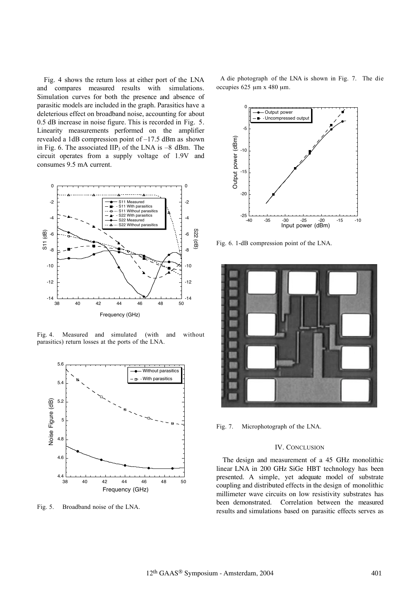Fig. 4 shows the return loss at either port of the LNA and compares measured results with simulations. Simulation curves for both the presence and absence of parasitic models are included in the graph. Parasitics have a deleterious effect on broadband noise, accounting for about 0.5 dB increase in noise figure. This is recorded in Fig. 5. Linearity measurements performed on the amplifier revealed a 1dB compression point of –17.5 dBm as shown in Fig. 6. The associated  $\text{HP}_3$  of the LNA is  $-8$  dBm. The circuit operates from a supply voltage of 1.9V and consumes 9.5 mA current.



Fig. 4. Measured and simulated (with and without parasitics) return losses at the ports of the LNA.



Fig. 5. Broadband noise of the LNA.

 A die photograph of the LNA is shown in Fig. 7. The die occupies  $625 \mu m \times 480 \mu m$ .



Fig. 6. 1-dB compression point of the LNA.



Fig. 7. Microphotograph of the LNA.

## IV. CONCLUSION

The design and measurement of a 45 GHz monolithic linear LNA in 200 GHz SiGe HBT technology has been presented. A simple, yet adequate model of substrate coupling and distributed effects in the design of monolithic millimeter wave circuits on low resistivity substrates has been demonstrated. Correlation between the measured results and simulations based on parasitic effects serves as